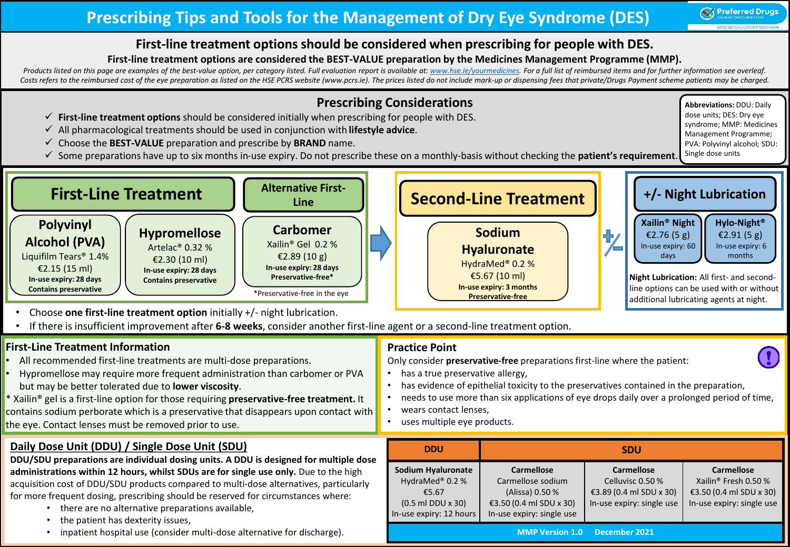## **Prescribing Tips and Tools for the Management of Dry Eye Syndrome (DES)**

**Abbreviations:** DDU: Daily dose units; DES: Dry eye syndrome; MMP: Medicines Management Programme; PVA: Polyvinyl alcohol; SDU:

#### **First-line treatment options should be considered when prescribing for people with DES.**

#### **First-line treatment options are considered the BEST-VALUE preparation by the Medicines Management Programme (MMP).**

Products listed on this page are examples of the best-value option, per category listed. Full evaluation report is available at: [www.hse.ie/yourmedicines.](http://www.hse.ie/yourmedicines) For a full list of reimbursed items and for further information see Costs refers to the reimbursed cost of the eye preparation as listed on the HSE PCRS website (www.pcrs.ie). The prices listed do not include mark-up or dispensing fees that private/Drugs Payment scheme patients may be char

## **Prescribing Considerations**

- **First-line treatment options** should be considered initially when prescribing for people with DES.
- All pharmacological treatments should be used in conjunction with **lifestyle advice**.
- Choose the **BEST-VALUE** preparation and prescribe by **BRAND** name.
- Some preparations have up to six months in-use expiry. Do not prescribe these on a monthly-basis without checking the **patient's requirement**. Single dose units



- Choose **one first-line treatment option** initially +/- night lubrication.
- If there is insufficient improvement after **6-8 weeks**, consider another first-line agent or a second-line treatment option.

#### **First-Line Treatment Information**

- All recommended first-line treatments are multi-dose preparations.
- Hypromellose may require more frequent administration than carbomer or PVA but may be better tolerated due to **lower viscosity**.
- \* Xailin® gel is a first-line option for those requiring **preservative-free treatment.** It contains sodium perborate which is a preservative that disappears upon contact with the eye. Contact lenses must be removed prior to use.

## **Daily Dose Unit (DDU) / Single Dose Unit (SDU)**

- **DDU/SDU preparations are individual dosing units. A DDU is designed for multiple dose administrations within 12 hours, whilst SDUs are for single use only.** Due to the high acquisition cost of DDU/SDU products compared to multi-dose alternatives, particularly for more frequent dosing, prescribing should be reserved for circumstances where:
	- there are no alternative preparations available,
	- the patient has dexterity issues,
	- inpatient hospital use (consider multi-dose alternative for discharge).

#### **Practice Point**

Only consider **preservative-free** preparations first-line where the patient:

- has a true preservative allergy,
- has evidence of epithelial toxicity to the preservatives contained in the preparation,
- needs to use more than six applications of eye drops daily over a prolonged period of time,
- wears contact lenses.
- uses multiple eye products.

| <b>DDU</b>                                                                                                          | <b>SDU</b>                                                                                                        |                                                                                               |                                                                                                               |  |  |  |  |  |  |
|---------------------------------------------------------------------------------------------------------------------|-------------------------------------------------------------------------------------------------------------------|-----------------------------------------------------------------------------------------------|---------------------------------------------------------------------------------------------------------------|--|--|--|--|--|--|
| Sodium Hyaluronate<br>HydraMed <sup>®</sup> 0.2%<br>€5.67<br>$(0.5 \text{ ml}$ DDU x 30)<br>In-use expiry: 12 hours | <b>Carmellose</b><br>Carmellose sodium<br>(Alissa) 0.50 %<br>€3.50 (0.4 ml SDU x 30)<br>In-use expiry: single use | <b>Carmellose</b><br>Celluvisc 0.50 %<br>€3.89 (0.4 ml SDU x 30)<br>In-use expiry: single use | <b>Carmellose</b><br>Xailin <sup>®</sup> Fresh 0.50 %<br>€3.50 (0.4 ml SDU x 30)<br>In-use expiry: single use |  |  |  |  |  |  |
| <b>MMP Version 1.0</b><br>December 2021                                                                             |                                                                                                                   |                                                                                               |                                                                                                               |  |  |  |  |  |  |